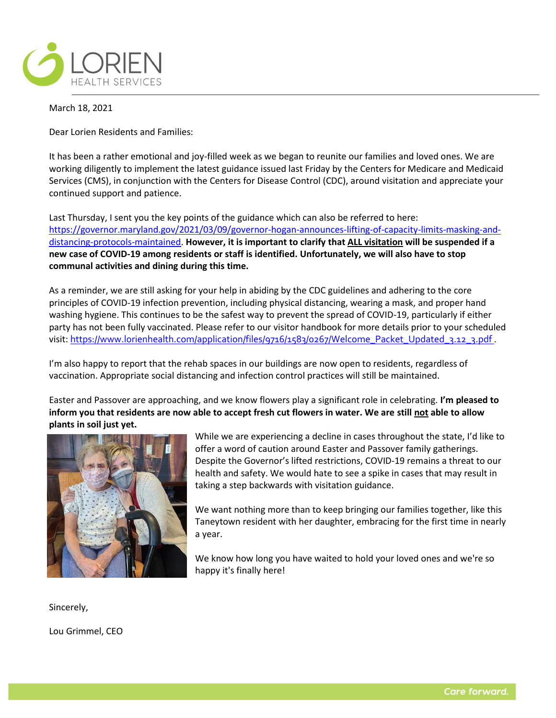

March 18, 2021

Dear Lorien Residents and Families:

It has been a rather emotional and joy-filled week as we began to reunite our families and loved ones. We are working diligently to implement the latest guidance issued last Friday by the Centers for Medicare and Medicaid Services (CMS), in conjunction with the Centers for Disease Control (CDC), around visitation and appreciate your continued support and patience.

Last Thursday, I sent you the key points of the guidance which can also be referred to here: [https://governor.maryland.gov/2021/03/09/governor-hogan-announces-lifting-of-capacity-limits-masking-and](https://governor.maryland.gov/2021/03/09/governor-hogan-announces-lifting-of-capacity-limits-masking-and-distancing-protocols-maintained)[distancing-protocols-maintained.](https://governor.maryland.gov/2021/03/09/governor-hogan-announces-lifting-of-capacity-limits-masking-and-distancing-protocols-maintained) **However, it is important to clarify that ALL visitation will be suspended if a new case of COVID-19 among residents or staff is identified. Unfortunately, we will also have to stop communal activities and dining during this time.**

As a reminder, we are still asking for your help in abiding by the CDC guidelines and adhering to the core principles of COVID-19 infection prevention, including physical distancing, wearing a mask, and proper hand washing hygiene. This continues to be the safest way to prevent the spread of COVID-19, particularly if either party has not been fully vaccinated. Please refer to our visitor handbook for more details prior to your scheduled visit: [https://www.lorienhealth.com/application/files/9716/1583/0267/Welcome\\_Packet\\_Updated\\_3.12\\_3.pdf](https://urldefense.proofpoint.com/v2/url?u=https-3A__www.lorienhealth.com_application_files_9716_1583_0267_Welcome-5FPacket-5FUpdated-5F3.12-5F3.pdf&d=DwQGaQ&c=euGZstcaTDllvimEN8b7jXrwqOf-v5A_CdpgnVfiiMM&r=EZiLHt2oafWje0gJ2p5RDbi2lMTQlrV5MUwLw8hcmzU&m=d3Fx8dnDTXnMF4G75L0SRIrPLwZOhj2PV_WpRqO4QWI&s=GHFFVJ8-_QJkt_ofpMweBfyH_QYicmSSvbS5u4jIW80&e=) .

I'm also happy to report that the rehab spaces in our buildings are now open to residents, regardless of vaccination. Appropriate social distancing and infection control practices will still be maintained.

Easter and Passover are approaching, and we know flowers play a significant role in celebrating. **I'm pleased to inform you that residents are now able to accept fresh cut flowers in water. We are still not able to allow plants in soil just yet.** 



While we are experiencing a decline in cases throughout the state, I'd like to offer a word of caution around Easter and Passover family gatherings. Despite the Governor's lifted restrictions, COVID-19 remains a threat to our health and safety. We would hate to see a spike in cases that may result in taking a step backwards with visitation guidance.

We want nothing more than to keep bringing our families together, like this Taneytown resident with her daughter, embracing for the first time in nearly a year.

We know how long you have waited to hold your loved ones and we're so happy it's finally here!

Sincerely,

Lou Grimmel, CEO